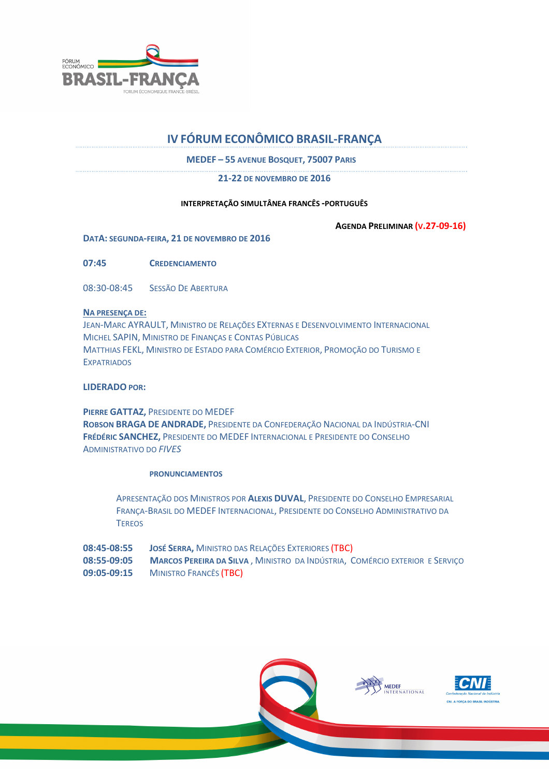

# IV FÓRUM ECONÔMICO BRASIL-FRANÇA

MEDEF – 55 AVENUE BOSQUET, 75007 PARIS

21-22 DE NOVEMBRO DE 2016

## INTERPRETAÇÃO SIMULTÂNEA FRANCÊS -PORTUGUÊS

AGENDA PRELIMINAR (V.27-09-16)

DATA: SEGUNDA-FEIRA, 21 DE NOVEMBRO DE 2016

07:45 CREDENCIAMENTO

08:30-08:45 SESSÃO DE ABERTURA

## NA PRESENÇA DE:

JEAN-MARC AYRAULT, MINISTRO DE RELAÇÕES EXTERNAS E DESENVOLVIMENTO INTERNACIONAL MICHEL SAPIN, MINISTRO DE FINANÇAS E CONTAS PÚBLICAS MATTHIAS FEKL, MINISTRO DE ESTADO PARA COMÉRCIO EXTERIOR, PROMOÇÃO DO TURISMO E **EXPATRIADOS** 

# LIDERADO POR:

PIERRE GATTAZ, PRESIDENTE DO MEDEF ROBSON BRAGA DE ANDRADE, PRESIDENTE DA CONFEDERAÇÃO NACIONAL DA INDÚSTRIA-CNI FRÉDÉRIC SANCHEZ, PRESIDENTE DO MEDEF INTERNACIONAL E PRESIDENTE DO CONSELHO ADMINISTRATIVO DO FIVES

### PRONUNCIAMENTOS

APRESENTAÇÃO DOS MINISTROS POR ALEXIS DUVAL, PRESIDENTE DO CONSELHO EMPRESARIAL FRANÇA-BRASIL DO MEDEF INTERNACIONAL, PRESIDENTE DO CONSELHO ADMINISTRATIVO DA **TEREOS** 

08:45-08:55 JOSÉ SERRA, MINISTRO DAS RELAÇÕES EXTERIORES (TBC) 08:55-09:05 MARCOS PEREIRA DA SILVA, MINISTRO DA INDÚSTRIA, COMÉRCIO EXTERIOR E SERVIÇO 09:05-09:15 MINISTRO FRANCÊS (TBC)





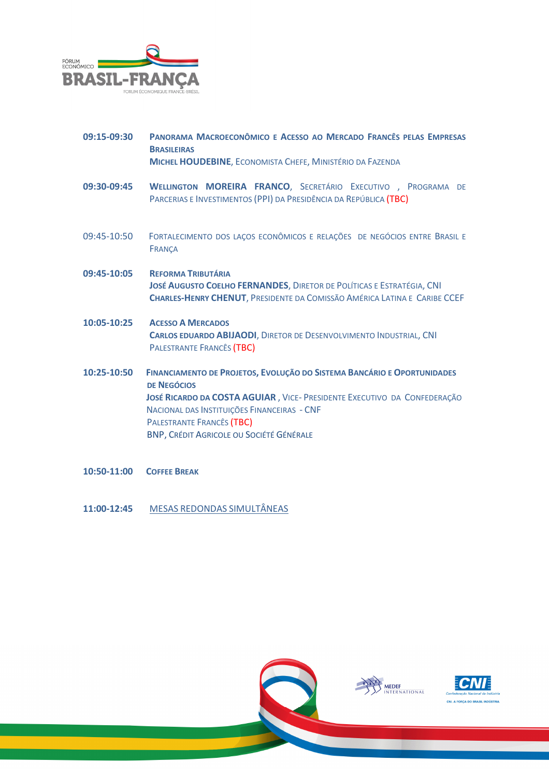

| 09:15-09:30 | PANORAMA MACROECONÔMICO E ACESSO AO MERCADO FRANCÊS PELAS EMPRESAS<br><b>BRASILEIRAS</b><br><b>MICHEL HOUDEBINE, ECONOMISTA CHEFE, MINISTÉRIO DA FAZENDA</b>                                                                                                                                      |
|-------------|---------------------------------------------------------------------------------------------------------------------------------------------------------------------------------------------------------------------------------------------------------------------------------------------------|
| 09:30-09:45 | <b>WELLINGTON MOREIRA FRANCO, SECRETÁRIO EXECUTIVO</b> , PROGRAMA DE<br>PARCERIAS E INVESTIMENTOS (PPI) DA PRESIDÊNCIA DA REPÚBLICA (TBC)                                                                                                                                                         |
| 09:45-10:50 | FORTALECIMENTO DOS LAÇOS ECONÔMICOS E RELAÇÕES DE NEGÓCIOS ENTRE BRASIL E<br><b>FRANÇA</b>                                                                                                                                                                                                        |
| 09:45-10:05 | <b>REFORMA TRIBUTÁRIA</b><br>JOSÉ AUGUSTO COELHO FERNANDES, DIRETOR DE POLÍTICAS E ESTRATÉGIA, CNI<br><b>CHARLES-HENRY CHENUT, PRESIDENTE DA COMISSÃO AMÉRICA LATINA E CARIBE CCEF</b>                                                                                                            |
| 10:05-10:25 | <b>ACESSO A MERCADOS</b><br><b>CARLOS EDUARDO ABIJAODI, DIRETOR DE DESENVOLVIMENTO INDUSTRIAL, CNI</b><br>PALESTRANTE FRANCÊS (TBC)                                                                                                                                                               |
| 10:25-10:50 | FINANCIAMENTO DE PROJETOS, EVOLUÇÃO DO SISTEMA BANCÁRIO E OPORTUNIDADES<br><b>DE NEGÓCIOS</b><br>JOSÉ RICARDO DA COSTA AGUIAR, VICE- PRESIDENTE EXECUTIVO DA CONFEDERAÇÃO<br>NACIONAL DAS INSTITUIÇÕES FINANCEIRAS - CNF<br>PALESTRANTE FRANCÊS (TBC)<br>BNP, CRÉDIT AGRICOLE OU SOCIÉTÉ GÉNÉRALE |
| 10:50-11:00 | <b>COFFEE BREAK</b>                                                                                                                                                                                                                                                                               |

- 
- 11:00-12:45 MESAS REDONDAS SIMULTÂNEAS





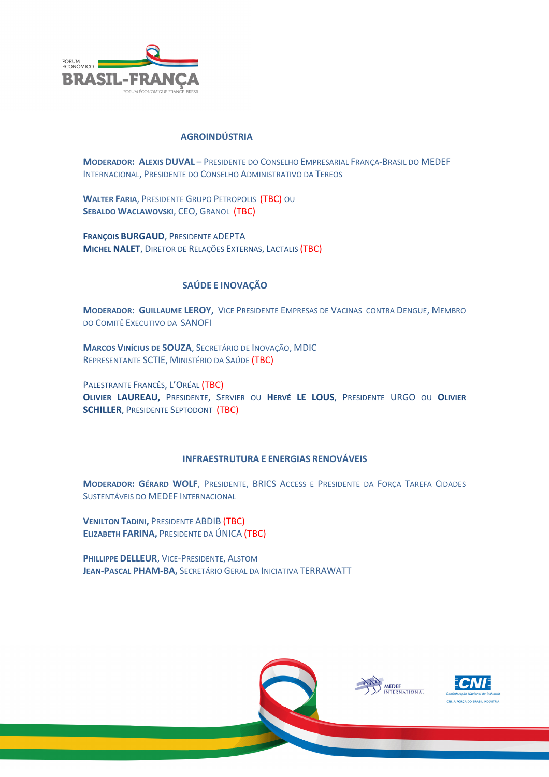

## AGROINDÚSTRIA

MODERADOR: ALEXIS DUVAL – PRESIDENTE DO CONSELHO EMPRESARIAL FRANÇA-BRASIL DO MEDEF INTERNACIONAL, PRESIDENTE DO CONSELHO ADMINISTRATIVO DA TEREOS

WALTER FARIA, PRESIDENTE GRUPO PETROPOLIS (TBC) OU SEBALDO WACLAWOVSKI, CEO, GRANOL (TBC)

FRANÇOIS BURGAUD, PRESIDENTE ADEPTA MICHEL NALET, DIRETOR DE RELAÇÕES EXTERNAS, LACTALIS (TBC)

# SAÚDE E INOVAÇÃO

MODERADOR: GUILLAUME LEROY, VICE PRESIDENTE EMPRESAS DE VACINAS CONTRA DENGUE, MEMBRO DO COMITÊ EXECUTIVO DA SANOFI

MARCOS VINÍCIUS DE SOUZA, SECRETÁRIO DE INOVAÇÃO, MDIC REPRESENTANTE SCTIE, MINISTÉRIO DA SAÚDE (TBC)

PALESTRANTE FRANCÊS, L'ORÉAL (TBC) OLIVIER LAUREAU, PRESIDENTE, SERVIER OU HERVÉ LE LOUS, PRESIDENTE URGO OU OLIVIER SCHILLER, PRESIDENTE SEPTODONT (TBC)

# INFRAESTRUTURA E ENERGIAS RENOVÁVEIS

MODERADOR: GÉRARD WOLF, PRESIDENTE, BRICS ACCESS E PRESIDENTE DA FORÇA TAREFA CIDADES SUSTENTÁVEIS DO MEDEF INTERNACIONAL

VENILTON TADINI, PRESIDENTE ABDIB (TBC) ELIZABETH FARINA, PRESIDENTE DA ÚNICA (TBC)

PHILLIPPE DELLEUR, VICE-PRESIDENTE, ALSTOM JEAN-PASCAL PHAM-BA, SECRETÁRIO GERAL DA INICIATIVA TERRAWATT